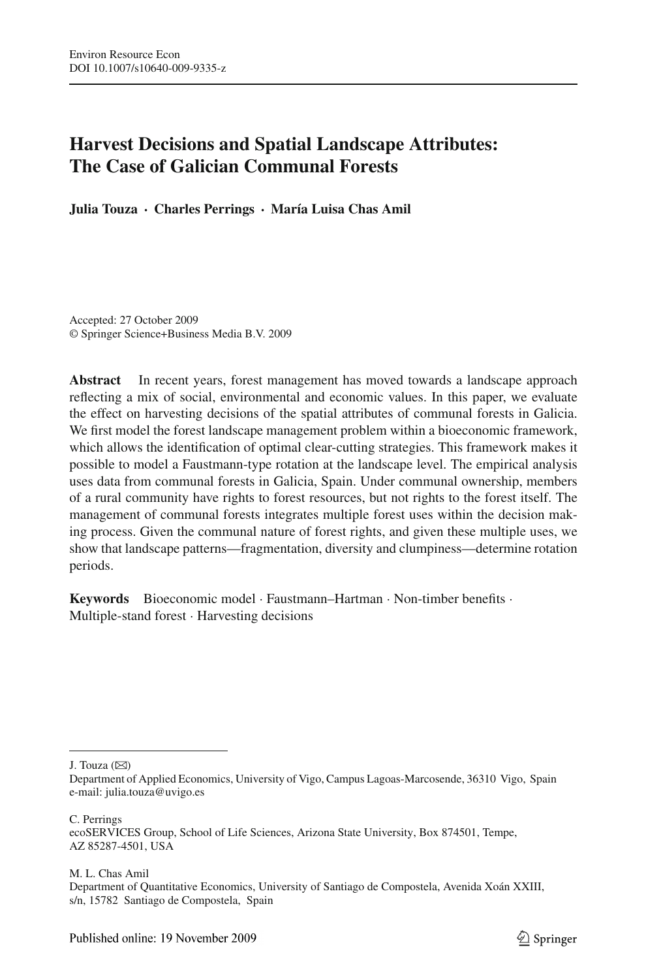# **Harvest Decisions and Spatial Landscape Attributes: The Case of Galician Communal Forests**

**Julia Touza · Charles Perrings · María Luisa Chas Amil**

Accepted: 27 October 2009 © Springer Science+Business Media B.V. 2009

**Abstract** In recent years, forest management has moved towards a landscape approach reflecting a mix of social, environmental and economic values. In this paper, we evaluate the effect on harvesting decisions of the spatial attributes of communal forests in Galicia. We first model the forest landscape management problem within a bioeconomic framework, which allows the identification of optimal clear-cutting strategies. This framework makes it possible to model a Faustmann-type rotation at the landscape level. The empirical analysis uses data from communal forests in Galicia, Spain. Under communal ownership, members of a rural community have rights to forest resources, but not rights to the forest itself. The management of communal forests integrates multiple forest uses within the decision making process. Given the communal nature of forest rights, and given these multiple uses, we show that landscape patterns—fragmentation, diversity and clumpiness—determine rotation periods.

**Keywords** Bioeconomic model · Faustmann–Hartman · Non-timber benefits · Multiple-stand forest · Harvesting decisions

J. Touza  $(\boxtimes)$ 

C. Perrings

M. L. Chas Amil

Department of Quantitative Economics, University of Santiago de Compostela, Avenida Xoán XXIII, s/n, 15782 Santiago de Compostela, Spain

Department of Applied Economics, University of Vigo, Campus Lagoas-Marcosende, 36310 Vigo, Spain e-mail: julia.touza@uvigo.es

ecoSERVICES Group, School of Life Sciences, Arizona State University, Box 874501, Tempe, AZ 85287-4501, USA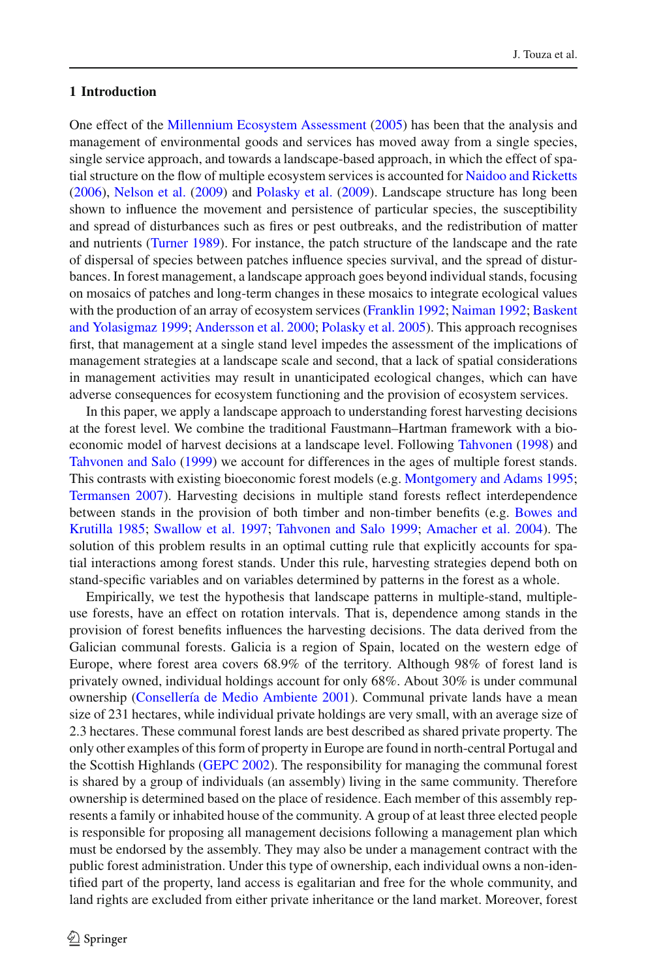# **1 Introduction**

One effect of the [Millennium Ecosystem Assessment](#page-15-0) [\(2005](#page-15-0)) has been that the analysis and management of environmental goods and services has moved away from a single species, single service approach, and towards a landscape-based approach, in which the effect of spatial structure on the flow of multiple ecosystem services is accounted for [Naidoo and Ricketts](#page-15-1) [\(2006](#page-15-1)), [Nelson et al.](#page-15-2) [\(2009\)](#page-15-2) and [Polasky et al.](#page-15-3) [\(2009\)](#page-15-3). Landscape structure has long been shown to influence the movement and persistence of particular species, the susceptibility and spread of disturbances such as fires or pest outbreaks, and the redistribution of matter and nutrients [\(Turner 1989\)](#page-15-4). For instance, the patch structure of the landscape and the rate of dispersal of species between patches influence species survival, and the spread of disturbances. In forest management, a landscape approach goes beyond individual stands, focusing on mosaics of patches and long-term changes in these mosaics to integrate ecological values with the produc[tion](#page-14-1) [of](#page-14-1) [an](#page-14-1) [array](#page-14-1) [of](#page-14-1) [ecosystem](#page-14-1) [services](#page-14-1) [\(Franklin 1992](#page-14-0)[;](#page-14-1) [Naiman 1992](#page-15-5); Baskent and Yolasigmaz [1999](#page-14-1); [Andersson et al. 2000](#page-14-2); [Polasky et al. 2005\)](#page-15-6). This approach recognises first, that management at a single stand level impedes the assessment of the implications of management strategies at a landscape scale and second, that a lack of spatial considerations in management activities may result in unanticipated ecological changes, which can have adverse consequences for ecosystem functioning and the provision of ecosystem services.

In this paper, we apply a landscape approach to understanding forest harvesting decisions at the forest level. We combine the traditional Faustmann–Hartman framework with a bioeconomic model of harvest decisions at a landscape level. Following [Tahvonen](#page-15-7) [\(1998\)](#page-15-7) and [Tahvonen and Salo](#page-15-8) [\(1999\)](#page-15-8) we account for differences in the ages of multiple forest stands. This contrasts with existing bioeconomic forest models (e.g. [Montgomery and Adams 1995](#page-15-9); [Termansen 2007](#page-15-10)). Harvesting decisions in multiple stand forests reflect interdependence betwee[n](#page-14-3) [stands](#page-14-3) [in](#page-14-3) [the](#page-14-3) [provision](#page-14-3) [of](#page-14-3) [both](#page-14-3) [timber](#page-14-3) [and](#page-14-3) [non-timber](#page-14-3) [benefits](#page-14-3) [\(e.g.](#page-14-3) Bowes and Krutilla [1985;](#page-14-3) [Swallow et al. 1997](#page-15-11); [Tahvonen and Salo 1999](#page-15-8); [Amacher et al. 2004\)](#page-14-4). The solution of this problem results in an optimal cutting rule that explicitly accounts for spatial interactions among forest stands. Under this rule, harvesting strategies depend both on stand-specific variables and on variables determined by patterns in the forest as a whole.

Empirically, we test the hypothesis that landscape patterns in multiple-stand, multipleuse forests, have an effect on rotation intervals. That is, dependence among stands in the provision of forest benefits influences the harvesting decisions. The data derived from the Galician communal forests. Galicia is a region of Spain, located on the western edge of Europe, where forest area covers 68.9% of the territory. Although 98% of forest land is privately owned, individual holdings account for only 68%. About 30% is under communal ownership [\(Consellería de Medio Ambiente 2001](#page-14-5)). Communal private lands have a mean size of 231 hectares, while individual private holdings are very small, with an average size of 2.3 hectares. These communal forest lands are best described as shared private property. The only other examples of this form of property in Europe are found in north-central Portugal and the Scottish Highlands [\(GEPC 2002\)](#page-14-6). The responsibility for managing the communal forest is shared by a group of individuals (an assembly) living in the same community. Therefore ownership is determined based on the place of residence. Each member of this assembly represents a family or inhabited house of the community. A group of at least three elected people is responsible for proposing all management decisions following a management plan which must be endorsed by the assembly. They may also be under a management contract with the public forest administration. Under this type of ownership, each individual owns a non-identified part of the property, land access is egalitarian and free for the whole community, and land rights are excluded from either private inheritance or the land market. Moreover, forest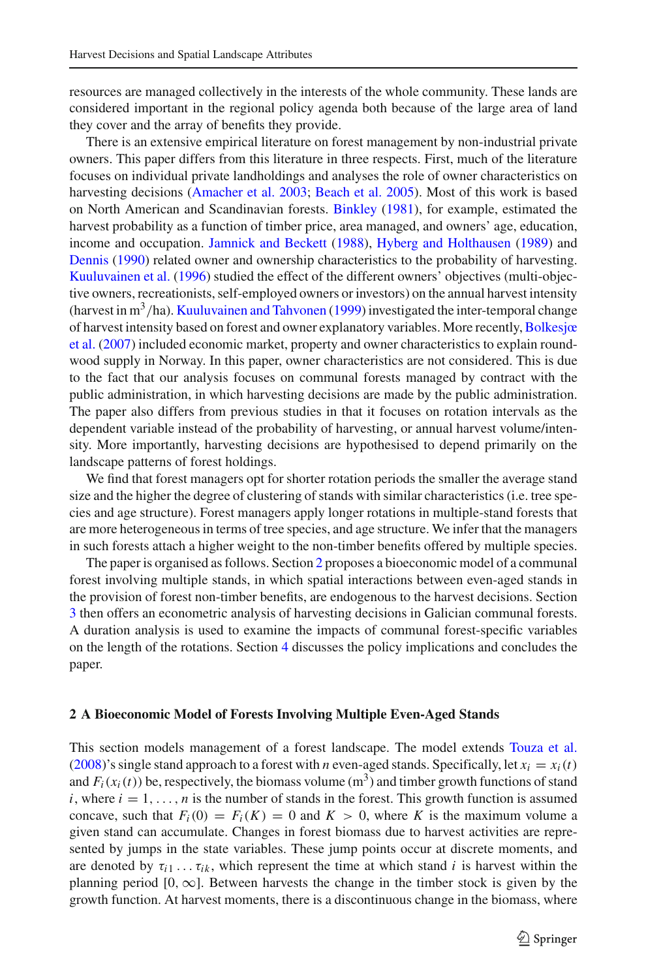resources are managed collectively in the interests of the whole community. These lands are considered important in the regional policy agenda both because of the large area of land they cover and the array of benefits they provide.

There is an extensive empirical literature on forest management by non-industrial private owners. This paper differs from this literature in three respects. First, much of the literature focuses on individual private landholdings and analyses the role of owner characteristics on harvesting decisions [\(Amacher et al. 2003](#page-14-7); [Beach et al. 2005\)](#page-14-8). Most of this work is based on North American and Scandinavian forests. [Binkley](#page-14-9) [\(1981\)](#page-14-9), for example, estimated the harvest probability as a function of timber price, area managed, and owners' age, education, income and occupation. [Jamnick and Beckett](#page-15-12) [\(1988\)](#page-15-12), [Hyberg and Holthausen](#page-15-13) [\(1989](#page-15-13)) and [Dennis](#page-14-10) [\(1990\)](#page-14-10) related owner and ownership characteristics to the probability of harvesting. [Kuuluvainen et al.](#page-15-14) [\(1996](#page-15-14)) studied the effect of the different owners' objectives (multi-objective owners, recreationists, self-employed owners or investors) on the annual harvest intensity (harvest in  $m^3/ha$ ). [Kuuluvainen and Tahvonen](#page-15-15) [\(1999\)](#page-15-15) investigated the inter-temporal change of h[arvest](#page-14-11) [intensity](#page-14-11) [based](#page-14-11) [on](#page-14-11) [forest](#page-14-11) [and](#page-14-11) [owner](#page-14-11) [explanatory](#page-14-11) [variables.](#page-14-11) [More](#page-14-11) [recently,](#page-14-11) Bolkesjæ et al. [\(2007](#page-14-11)) included economic market, property and owner characteristics to explain roundwood supply in Norway. In this paper, owner characteristics are not considered. This is due to the fact that our analysis focuses on communal forests managed by contract with the public administration, in which harvesting decisions are made by the public administration. The paper also differs from previous studies in that it focuses on rotation intervals as the dependent variable instead of the probability of harvesting, or annual harvest volume/intensity. More importantly, harvesting decisions are hypothesised to depend primarily on the landscape patterns of forest holdings.

We find that forest managers opt for shorter rotation periods the smaller the average stand size and the higher the degree of clustering of stands with similar characteristics (i.e. tree species and age structure). Forest managers apply longer rotations in multiple-stand forests that are more heterogeneous in terms of tree species, and age structure. We infer that the managers in such forests attach a higher weight to the non-timber benefits offered by multiple species.

The paper is organised as follows. Section [2](#page-2-0) proposes a bioeconomic model of a communal forest involving multiple stands, in which spatial interactions between even-aged stands in the provision of forest non-timber benefits, are endogenous to the harvest decisions. Section [3](#page-5-0) then offers an econometric analysis of harvesting decisions in Galician communal forests. A duration analysis is used to examine the impacts of communal forest-specific variables on the length of the rotations. Section [4](#page-11-0) discusses the policy implications and concludes the paper.

#### <span id="page-2-0"></span>**2 A Bioeconomic Model of Forests Involving Multiple Even-Aged Stands**

This section models management of a forest landscape. The model extends [Touza et al.](#page-15-16) [\(2008](#page-15-16))'s single stand approach to a forest with *n* even-aged stands. Specifically, let  $x_i = x_i(t)$ and  $F_i(x_i(t))$  be, respectively, the biomass volume (m<sup>3</sup>) and timber growth functions of stand  $i$ , where  $i = 1, \ldots, n$  is the number of stands in the forest. This growth function is assumed concave, such that  $F_i(0) = F_i(K) = 0$  and  $K > 0$ , where *K* is the maximum volume a given stand can accumulate. Changes in forest biomass due to harvest activities are represented by jumps in the state variables. These jump points occur at discrete moments, and are denoted by  $\tau_{i1} \ldots \tau_{ik}$ , which represent the time at which stand *i* is harvest within the planning period [0,  $\infty$ ]. Between harvests the change in the timber stock is given by the growth function. At harvest moments, there is a discontinuous change in the biomass, where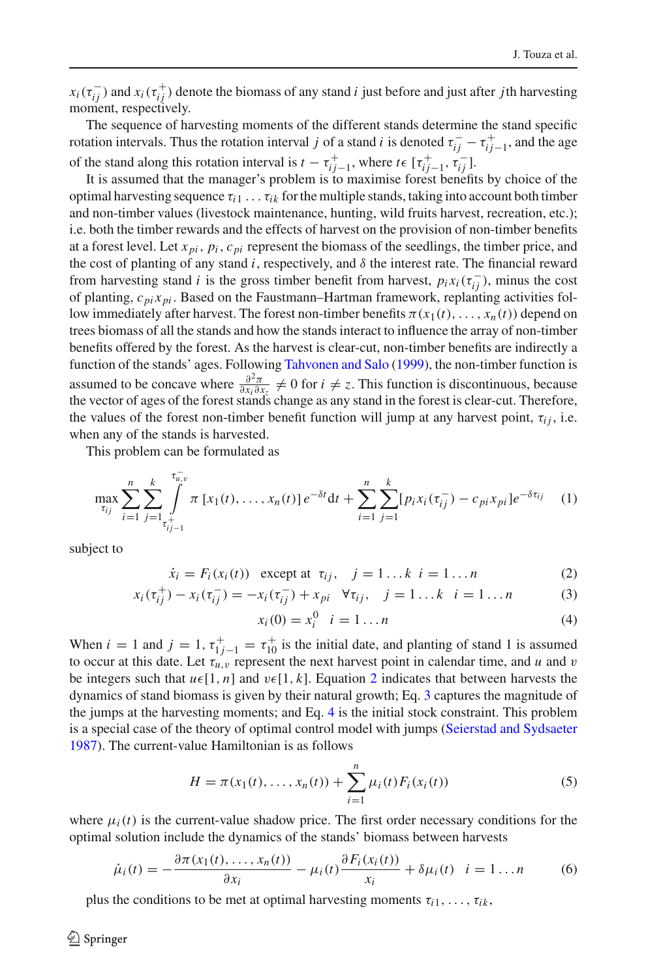$x_i(\tau_{ij}^-)$  and  $x_i(\tau_{ij}^+)$  denote the biomass of any stand *i* just before and just after *j*th harvesting moment, respectively.

The sequence of harvesting moments of the different stands determine the stand specific rotation intervals. Thus the rotation interval *j* of a stand *i* is denoted  $\tau_{ij}^- - \tau_{ij-1}^+$ , and the age of the stand along this rotation interval is  $t - \tau_{i,j-1}^+$ , where  $t \in [\tau_{i,j-1}^+, \tau_{i,j}^-]$ .

It is assumed that the manager's problem is to maximise forest benefits by choice of the optimal harvesting sequence  $\tau_{i1} \ldots \tau_{ik}$  for the multiple stands, taking into account both timber and non-timber values (livestock maintenance, hunting, wild fruits harvest, recreation, etc.); i.e. both the timber rewards and the effects of harvest on the provision of non-timber benefits at a forest level. Let  $x_{pi}$ ,  $p_i$ ,  $c_{pi}$  represent the biomass of the seedlings, the timber price, and the cost of planting of any stand  $i$ , respectively, and  $\delta$  the interest rate. The financial reward from harvesting stand *i* is the gross timber benefit from harvest,  $p_i x_i(\tau_{ij}^-)$ , minus the cost of planting,  $c_{pi}x_{pi}$ . Based on the Faustmann–Hartman framework, replanting activities follow immediately after harvest. The forest non-timber benefits  $\pi(x_1(t), \ldots, x_n(t))$  depend on trees biomass of all the stands and how the stands interact to influence the array of non-timber benefits offered by the forest. As the harvest is clear-cut, non-timber benefits are indirectly a function of the stands' ages. Following [Tahvonen and Salo](#page-15-8) [\(1999\)](#page-15-8), the non-timber function is assumed to be concave where  $\frac{\partial^2 \pi}{\partial x_i \partial x_z} \neq 0$  for  $i \neq z$ . This function is discontinuous, because the vector of ages of the forest stands change as any stand in the forest is clear-cut. Therefore, the values of the forest non-timber benefit function will jump at any harvest point,  $\tau_{ij}$ , i.e. when any of the stands is harvested.

This problem can be formulated as

$$
\max_{\tau_{ij}} \sum_{i=1}^n \sum_{j=1}^k \int_{\tau_{ij-1}^+}^{\tau_{u,v}^-} \pi \left[ x_1(t), \dots, x_n(t) \right] e^{-\delta t} dt + \sum_{i=1}^n \sum_{j=1}^k [p_i x_i(\tau_{ij}^-) - c_{pi} x_{pi}] e^{-\delta \tau_{ij}} \quad (1)
$$

<span id="page-3-0"></span>subject to

 $\dot{x}_i = F_i(x_i(t))$  except at  $\tau_{ij}$ ,  $j = 1...k$   $i = 1...n$  (2)

$$
x_i(\tau_{ij}^+) - x_i(\tau_{ij}^-) = -x_i(\tau_{ij}^-) + x_{pi} \quad \forall \tau_{ij}, \quad j = 1...k \quad i = 1...n \tag{3}
$$

$$
x_i(0) = x_i^0 \quad i = 1 \dots n \tag{4}
$$

When  $i = 1$  and  $j = 1$ ,  $\tau_{1j-1}^+ = \tau_{10}^+$  is the initial date, and planting of stand 1 is assumed to occur at this date. Let  $\tau_{u,v}$  represent the next harvest point in calendar time, and *u* and *v* be integers such that  $u \in [1, n]$  and  $v \in [1, k]$ . Equation [2](#page-3-0) indicates that between harvests the dynamics of stand biomass is given by their natural growth; Eq. [3](#page-3-0) captures the magnitude of the jumps at the harvesting moments; and Eq. [4](#page-3-0) is the initial stock constraint. This problem is a special case of the theory of optimal control model with jumps [\(Seierstad and Sydsaeter](#page-15-17) [1987](#page-15-17)). The current-value Hamiltonian is as follows

$$
H = \pi(x_1(t), \dots, x_n(t)) + \sum_{i=1}^n \mu_i(t) F_i(x_i(t))
$$
\n(5)

<span id="page-3-2"></span><span id="page-3-1"></span>where  $\mu_i(t)$  is the current-value shadow price. The first order necessary conditions for the optimal solution include the dynamics of the stands' biomass between harvests

$$
\dot{\mu}_i(t) = -\frac{\partial \pi(x_1(t), \dots, x_n(t))}{\partial x_i} - \mu_i(t) \frac{\partial F_i(x_i(t))}{\partial x_i} + \delta \mu_i(t) \quad i = 1 \dots n \tag{6}
$$

plus the conditions to be met at optimal harvesting moments  $\tau_{i1}, \ldots, \tau_{ik}$ ,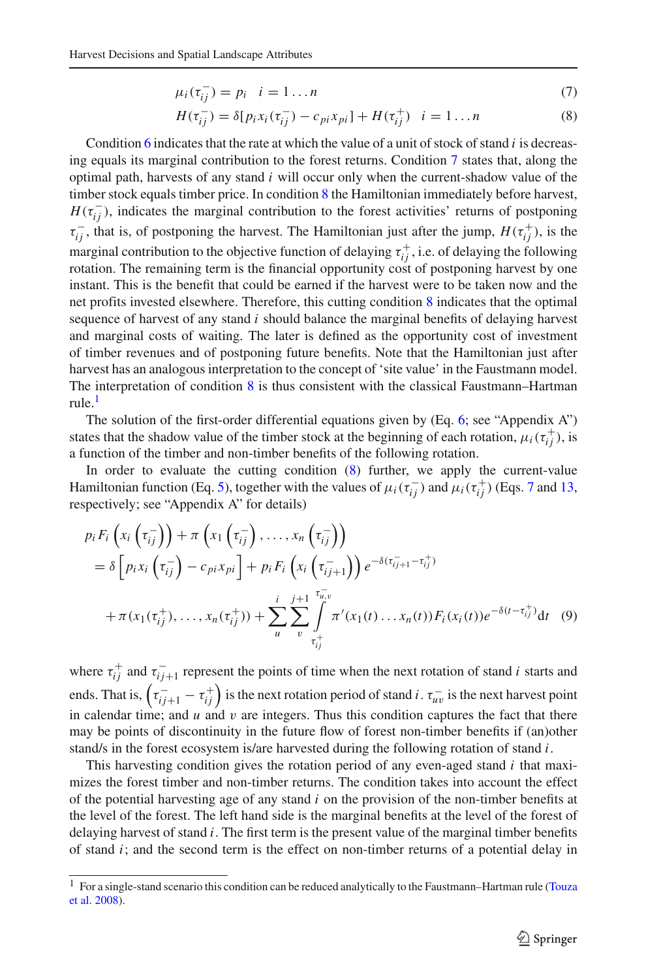$$
\mu_i(\tau_{ij}^-) = p_i \quad i = 1 \dots n \tag{7}
$$

$$
H(\tau_{ij}^-) = \delta[p_i x_i(\tau_{ij}^-) - c_{pi} x_{pi}] + H(\tau_{ij}^+) \quad i = 1...n
$$
 (8)

<span id="page-4-0"></span>Condition [6](#page-3-1) indicates that the rate at which the value of a unit of stock of stand *i* is decreasing equals its marginal contribution to the forest returns. Condition [7](#page-4-0) states that, along the optimal path, harvests of any stand *i* will occur only when the current-shadow value of the timber stock equals timber price. In condition [8](#page-4-0) the Hamiltonian immediately before harvest,  $H(\tau_{ij}^-)$ , indicates the marginal contribution to the forest activities' returns of postponing  $\tau_{ij}^-$ , that is, of postponing the harvest. The Hamiltonian just after the jump,  $H(\tau_{ij}^+)$ , is the marginal contribution to the objective function of delaying  $\tau_{ij}^+$ , i.e. of delaying the following rotation. The remaining term is the financial opportunity cost of postponing harvest by one instant. This is the benefit that could be earned if the harvest were to be taken now and the net profits invested elsewhere. Therefore, this cutting condition [8](#page-4-0) indicates that the optimal sequence of harvest of any stand *i* should balance the marginal benefits of delaying harvest and marginal costs of waiting. The later is defined as the opportunity cost of investment of timber revenues and of postponing future benefits. Note that the Hamiltonian just after harvest has an analogous interpretation to the concept of 'site value' in the Faustmann model. The interpretation of condition [8](#page-4-0) is thus consistent with the classical Faustmann–Hartman rule $1$ 

The solution of the first-order differential equations given by (Eq. [6;](#page-3-1) see "Appendix A") states that the shadow value of the timber stock at the beginning of each rotation,  $\mu_i(\tau_{ij}^+)$ , is a function of the timber and non-timber benefits of the following rotation.

In order to evaluate the cutting condition [\(8\)](#page-4-0) further, we apply the current-value Hamiltonian function (Eq. [5\)](#page-3-2), together with the values of  $\mu_i(\tau_{ij}^-)$  and  $\mu_i(\tau_{ij}^+)$  (Eqs. [7](#page-4-0) and [13,](#page-13-0) respectively; see "Appendix A" for details)

$$
p_{i} F_{i} \left( x_{i} \left( \tau_{ij}^{-} \right) \right) + \pi \left( x_{1} \left( \tau_{ij}^{-} \right) , \dots, x_{n} \left( \tau_{ij}^{-} \right) \right)
$$
  
=  $\delta \left[ p_{i} x_{i} \left( \tau_{ij}^{-} \right) - c_{pi} x_{pi} \right] + p_{i} F_{i} \left( x_{i} \left( \tau_{ij+1}^{-} \right) \right) e^{-\delta(\tau_{ij+1}^{-} - \tau_{ij}^{+})}$   
+  $\pi (x_{1}(\tau_{ij}^{+}), \dots, x_{n}(\tau_{ij}^{+})) + \sum_{u} \sum_{v} \int_{\tau_{ij}^{+}}^{\tau_{u,v}^{-}} \pi'(x_{1}(t) \dots x_{n}(t)) F_{i} (x_{i}(t)) e^{-\delta(t - \tau_{ij}^{+})} dt$  (9)

where  $\tau_{ij}^+$  and  $\tau_{ij+1}^-$  represent the points of time when the next rotation of stand *i* starts and ends. That is,  $(\tau_{ij+1}^- - \tau_{ij}^+)$  is the next rotation period of stand *i*.  $\tau_{uv}^-$  is the next harvest point in calendar time; and  $u$  and  $v$  are integers. Thus this condition captures the fact that there may be points of discontinuity in the future flow of forest non-timber benefits if (an)other stand/s in the forest ecosystem is/are harvested during the following rotation of stand *i*.

This harvesting condition gives the rotation period of any even-aged stand *i* that maximizes the forest timber and non-timber returns. The condition takes into account the effect of the potential harvesting age of any stand *i* on the provision of the non-timber benefits at the level of the forest. The left hand side is the marginal benefits at the level of the forest of delaying harvest of stand *i*. The first term is the present value of the marginal timber benefits of stand *i*; and the second term is the effect on non-timber returns of a potential delay in

<span id="page-4-1"></span><sup>&</sup>lt;sup>1</sup> Fo[r](#page-15-16) [a](#page-15-16) [single-stand](#page-15-16) [scenario](#page-15-16) [this](#page-15-16) [condition](#page-15-16) [can](#page-15-16) [be](#page-15-16) [reduced](#page-15-16) [analytically](#page-15-16) [to](#page-15-16) [the](#page-15-16) [Faustmann–Hartman](#page-15-16) [rule](#page-15-16) [\(](#page-15-16)Touza et al. [2008\)](#page-15-16).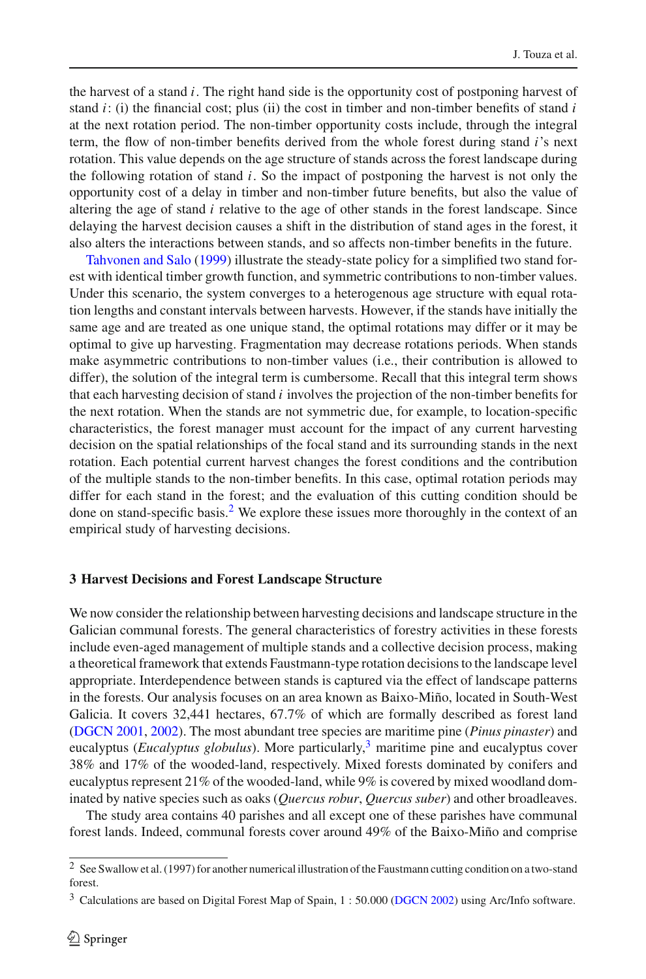the harvest of a stand *i*. The right hand side is the opportunity cost of postponing harvest of stand *i*: (i) the financial cost; plus (ii) the cost in timber and non-timber benefits of stand *i* at the next rotation period. The non-timber opportunity costs include, through the integral term, the flow of non-timber benefits derived from the whole forest during stand *i*'s next rotation. This value depends on the age structure of stands across the forest landscape during the following rotation of stand *i*. So the impact of postponing the harvest is not only the opportunity cost of a delay in timber and non-timber future benefits, but also the value of altering the age of stand *i* relative to the age of other stands in the forest landscape. Since delaying the harvest decision causes a shift in the distribution of stand ages in the forest, it [also](#page-15-8) [alters](#page-15-8) [the](#page-15-8) [interact](#page-15-8)ions between stands, and so affects non-timber benefits in the future.

Tahvonen and Salo [\(1999](#page-15-8)) illustrate the steady-state policy for a simplified two stand forest with identical timber growth function, and symmetric contributions to non-timber values. Under this scenario, the system converges to a heterogenous age structure with equal rotation lengths and constant intervals between harvests. However, if the stands have initially the same age and are treated as one unique stand, the optimal rotations may differ or it may be optimal to give up harvesting. Fragmentation may decrease rotations periods. When stands make asymmetric contributions to non-timber values (i.e., their contribution is allowed to differ), the solution of the integral term is cumbersome. Recall that this integral term shows that each harvesting decision of stand *i* involves the projection of the non-timber benefits for the next rotation. When the stands are not symmetric due, for example, to location-specific characteristics, the forest manager must account for the impact of any current harvesting decision on the spatial relationships of the focal stand and its surrounding stands in the next rotation. Each potential current harvest changes the forest conditions and the contribution of the multiple stands to the non-timber benefits. In this case, optimal rotation periods may differ for each stand in the forest; and the evaluation of this cutting condition should be done on stand-specific basis.<sup>2</sup> We explore these issues more thoroughly in the context of an empirical study of harvesting decisions.

## <span id="page-5-0"></span>**3 Harvest Decisions and Forest Landscape Structure**

We now consider the relationship between harvesting decisions and landscape structure in the Galician communal forests. The general characteristics of forestry activities in these forests include even-aged management of multiple stands and a collective decision process, making a theoretical framework that extends Faustmann-type rotation decisions to the landscape level appropriate. Interdependence between stands is captured via the effect of landscape patterns in the forests. Our analysis focuses on an area known as Baixo-Miño, located in South-West Galicia. It covers 32,441 hectares, 67.7% of which are formally described as forest land [\(DGCN 2001](#page-14-12), [2002](#page-14-13)). The most abundant tree species are maritime pine (*Pinus pinaster*) and eucalyptus (*Eucalyptus globulus*). More particularly,<sup>[3](#page-5-2)</sup> maritime pine and eucalyptus cover 38% and 17% of the wooded-land, respectively. Mixed forests dominated by conifers and eucalyptus represent 21% of the wooded-land, while 9% is covered by mixed woodland dominated by native species such as oaks (*Quercus robur*, *Quercus suber*) and other broadleaves.

The study area contains 40 parishes and all except one of these parishes have communal forest lands. Indeed, communal forests cover around 49% of the Baixo-Miño and comprise

 $\frac{2}{2}$  See Swallow et al. (1997) for another numerical illustration of the Faustmann cutting condition on a two-stand forest.

<span id="page-5-2"></span><span id="page-5-1"></span><sup>3</sup> Calculations are based on Digital Forest Map of Spain, 1 : <sup>50</sup>.000 [\(DGCN 2002](#page-14-13)) using Arc/Info software.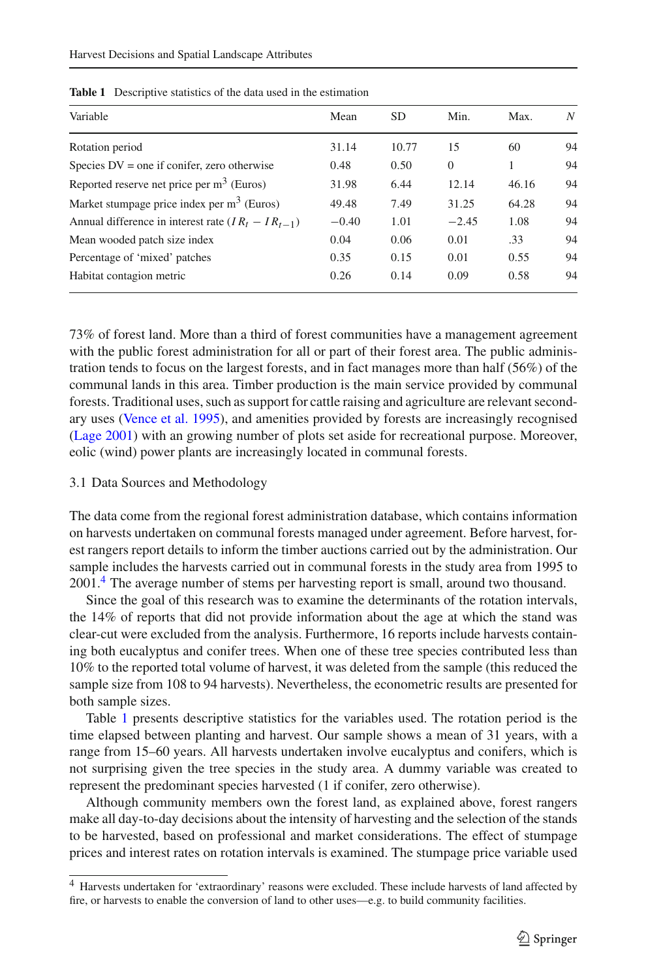<span id="page-6-1"></span>

| Variable                                               | Mean    | <b>SD</b> | Min.     | Max.  | N  |
|--------------------------------------------------------|---------|-----------|----------|-------|----|
| Rotation period                                        | 31.14   | 10.77     | 15       | 60    | 94 |
| Species $DV =$ one if conifer, zero otherwise          | 0.48    | 0.50      | $\theta$ |       | 94 |
| Reported reserve net price per $m3$ (Euros)            | 31.98   | 6.44      | 12.14    | 46.16 | 94 |
| Market stumpage price index per $m3$ (Euros)           | 49.48   | 7.49      | 31.25    | 64.28 | 94 |
| Annual difference in interest rate $(IR_t - IR_{t-1})$ | $-0.40$ | 1.01      | $-2.45$  | 1.08  | 94 |
| Mean wooded patch size index                           | 0.04    | 0.06      | 0.01     | .33   | 94 |
| Percentage of 'mixed' patches                          | 0.35    | 0.15      | 0.01     | 0.55  | 94 |
| Habitat contagion metric                               | 0.26    | 0.14      | 0.09     | 0.58  | 94 |

**Table 1** Descriptive statistics of the data used in the estimation

73% of forest land. More than a third of forest communities have a management agreement with the public forest administration for all or part of their forest area. The public administration tends to focus on the largest forests, and in fact manages more than half (56%) of the communal lands in this area. Timber production is the main service provided by communal forests. Traditional uses, such as support for cattle raising and agriculture are relevant secondary uses [\(Vence et al. 1995\)](#page-16-0), and amenities provided by forests are increasingly recognised [\(Lage 2001\)](#page-15-18) with an growing number of plots set aside for recreational purpose. Moreover, eolic (wind) power plants are increasingly located in communal forests.

# 3.1 Data Sources and Methodology

The data come from the regional forest administration database, which contains information on harvests undertaken on communal forests managed under agreement. Before harvest, forest rangers report details to inform the timber auctions carried out by the administration. Our sample includes the harvests carried out in communal forests in the study area from 1995 to 2001.<sup>4</sup> The average number of stems per harvesting report is small, around two thousand.

Since the goal of this research was to examine the determinants of the rotation intervals, the 14% of reports that did not provide information about the age at which the stand was clear-cut were excluded from the analysis. Furthermore, 16 reports include harvests containing both eucalyptus and conifer trees. When one of these tree species contributed less than 10% to the reported total volume of harvest, it was deleted from the sample (this reduced the sample size from 108 to 94 harvests). Nevertheless, the econometric results are presented for both sample sizes.

Table [1](#page-6-1) presents descriptive statistics for the variables used. The rotation period is the time elapsed between planting and harvest. Our sample shows a mean of 31 years, with a range from 15–60 years. All harvests undertaken involve eucalyptus and conifers, which is not surprising given the tree species in the study area. A dummy variable was created to represent the predominant species harvested (1 if conifer, zero otherwise).

Although community members own the forest land, as explained above, forest rangers make all day-to-day decisions about the intensity of harvesting and the selection of the stands to be harvested, based on professional and market considerations. The effect of stumpage prices and interest rates on rotation intervals is examined. The stumpage price variable used

<span id="page-6-0"></span><sup>4</sup> Harvests undertaken for 'extraordinary' reasons were excluded. These include harvests of land affected by fire, or harvests to enable the conversion of land to other uses—e.g. to build community facilities.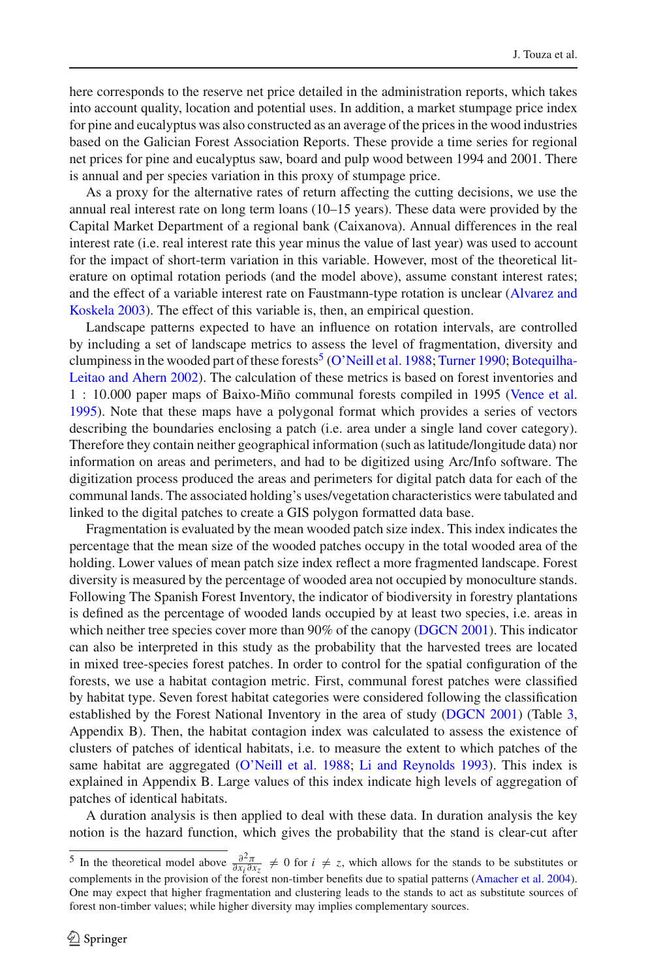here corresponds to the reserve net price detailed in the administration reports, which takes into account quality, location and potential uses. In addition, a market stumpage price index for pine and eucalyptus was also constructed as an average of the prices in the wood industries based on the Galician Forest Association Reports. These provide a time series for regional net prices for pine and eucalyptus saw, board and pulp wood between 1994 and 2001. There is annual and per species variation in this proxy of stumpage price.

As a proxy for the alternative rates of return affecting the cutting decisions, we use the annual real interest rate on long term loans (10–15 years). These data were provided by the Capital Market Department of a regional bank (Caixanova). Annual differences in the real interest rate (i.e. real interest rate this year minus the value of last year) was used to account for the impact of short-term variation in this variable. However, most of the theoretical literature on optimal rotation periods (and the model above), assume constant interest rates; and the [effect](#page-14-14) [of](#page-14-14) [a](#page-14-14) [variable](#page-14-14) [interest](#page-14-14) [rate](#page-14-14) [on](#page-14-14) [Faustmann-type](#page-14-14) [rotation](#page-14-14) [is](#page-14-14) [unclear](#page-14-14) [\(](#page-14-14)Alvarez and Koskela [2003](#page-14-14)). The effect of this variable is, then, an empirical question.

Landscape patterns expected to have an influence on rotation intervals, are controlled by including a set of landscape metrics to assess the level of fragmentation, diversity and clumpiness in the [wooded](#page-14-15) [part](#page-14-15) [of](#page-14-15) [these](#page-14-15) [forest](#page-14-15)s<sup>5</sup> [\(O'Neill et al. 1988](#page-15-19); [Turner 1990](#page-16-1); Botequilha-Leitao and Ahern [2002\)](#page-14-15). The calculation of these metrics is based on forest inventories and 1 : 10.000 paper maps of Baixo-Miño communal forests compiled in 1995 [\(Vence et al.](#page-16-0) [1995](#page-16-0)). Note that these maps have a polygonal format which provides a series of vectors describing the boundaries enclosing a patch (i.e. area under a single land cover category). Therefore they contain neither geographical information (such as latitude/longitude data) nor information on areas and perimeters, and had to be digitized using Arc/Info software. The digitization process produced the areas and perimeters for digital patch data for each of the communal lands. The associated holding's uses/vegetation characteristics were tabulated and linked to the digital patches to create a GIS polygon formatted data base.

Fragmentation is evaluated by the mean wooded patch size index. This index indicates the percentage that the mean size of the wooded patches occupy in the total wooded area of the holding. Lower values of mean patch size index reflect a more fragmented landscape. Forest diversity is measured by the percentage of wooded area not occupied by monoculture stands. Following The Spanish Forest Inventory, the indicator of biodiversity in forestry plantations is defined as the percentage of wooded lands occupied by at least two species, i.e. areas in which neither tree species cover more than 90% of the canopy [\(DGCN 2001\)](#page-14-12). This indicator can also be interpreted in this study as the probability that the harvested trees are located in mixed tree-species forest patches. In order to control for the spatial configuration of the forests, we use a habitat contagion metric. First, communal forest patches were classified by habitat type. Seven forest habitat categories were considered following the classification established by the Forest National Inventory in the area of study [\(DGCN 2001\)](#page-14-12) (Table [3,](#page-10-0) Appendix B). Then, the habitat contagion index was calculated to assess the existence of clusters of patches of identical habitats, i.e. to measure the extent to which patches of the same habitat are aggregated [\(O'Neill et al. 1988](#page-15-19); [Li and Reynolds 1993](#page-15-20)). This index is explained in Appendix B. Large values of this index indicate high levels of aggregation of patches of identical habitats.

A duration analysis is then applied to deal with these data. In duration analysis the key notion is the hazard function, which gives the probability that the stand is clear-cut after

<span id="page-7-0"></span><sup>&</sup>lt;sup>5</sup> In the theoretical model above  $\frac{\partial^2 \pi}{\partial x_i \partial x_z} \neq 0$  for  $i \neq z$ , which allows for the stands to be substitutes or complements in the provision of the forest non-timber benefits due to spatial patterns [\(Amacher et al. 2004](#page-14-4)). One may expect that higher fragmentation and clustering leads to the stands to act as substitute sources of forest non-timber values; while higher diversity may implies complementary sources.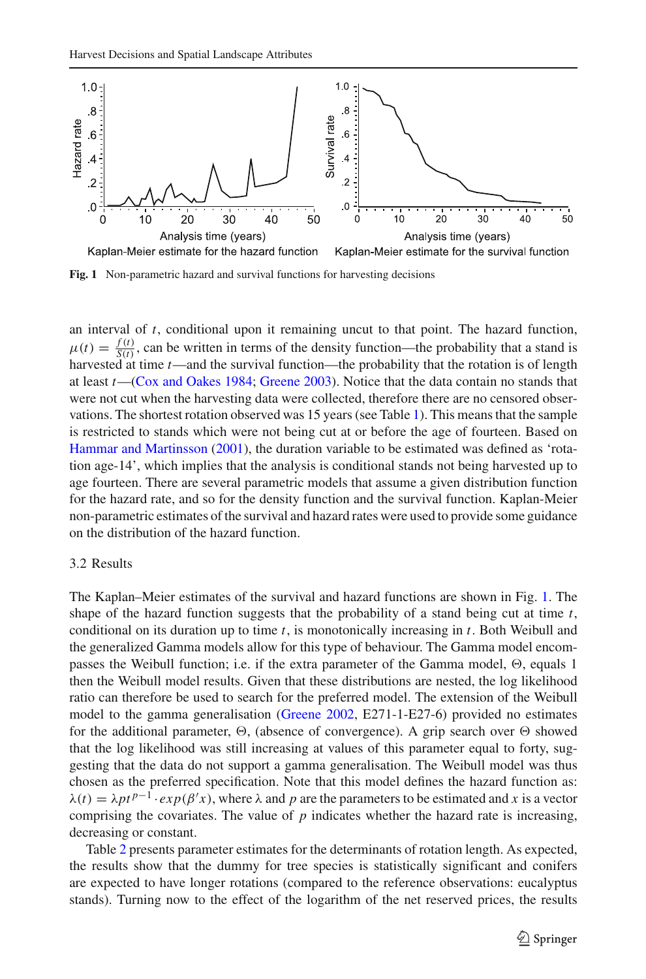

<span id="page-8-0"></span>**Fig. 1** Non-parametric hazard and survival functions for harvesting decisions

an interval of *t*, conditional upon it remaining uncut to that point. The hazard function,  $\mu(t) = \frac{f(t)}{S(t)}$ , can be written in terms of the density function—the probability that a stand is harvested at time *t*—and the survival function—the probability that the rotation is of length at least *t*—[\(Cox and Oakes 1984;](#page-14-16) [Greene 2003\)](#page-14-17). Notice that the data contain no stands that were not cut when the harvesting data were collected, therefore there are no censored observations. The shortest rotation observed was 15 years (see Table [1\)](#page-6-1). This means that the sample is restricted to stands which were not being cut at or before the age of fourteen. Based on [Hammar and Martinsson](#page-15-21) [\(2001\)](#page-15-21), the duration variable to be estimated was defined as 'rotation age-14', which implies that the analysis is conditional stands not being harvested up to age fourteen. There are several parametric models that assume a given distribution function for the hazard rate, and so for the density function and the survival function. Kaplan-Meier non-parametric estimates of the survival and hazard rates were used to provide some guidance on the distribution of the hazard function.

# 3.2 Results

The Kaplan–Meier estimates of the survival and hazard functions are shown in Fig. [1.](#page-8-0) The shape of the hazard function suggests that the probability of a stand being cut at time *t*, conditional on its duration up to time  $t$ , is monotonically increasing in  $t$ . Both Weibull and the generalized Gamma models allow for this type of behaviour. The Gamma model encompasses the Weibull function; i.e. if the extra parameter of the Gamma model,  $\Theta$ , equals 1 then the Weibull model results. Given that these distributions are nested, the log likelihood ratio can therefore be used to search for the preferred model. The extension of the Weibull model to the gamma generalisation [\(Greene 2002](#page-14-18), E271-1-E27-6) provided no estimates for the additional parameter,  $\Theta$ , (absence of convergence). A grip search over  $\Theta$  showed that the log likelihood was still increasing at values of this parameter equal to forty, suggesting that the data do not support a gamma generalisation. The Weibull model was thus chosen as the preferred specification. Note that this model defines the hazard function as:  $\lambda(t) = \lambda pt^{p-1} \cdot exp(\beta' x)$ , where  $\lambda$  and  $p$  are the parameters to be estimated and  $x$  is a vector comprising the covariates. The value of  $p$  indicates whether the hazard rate is increasing, decreasing or constant.

Table [2](#page-9-0) presents parameter estimates for the determinants of rotation length. As expected, the results show that the dummy for tree species is statistically significant and conifers are expected to have longer rotations (compared to the reference observations: eucalyptus stands). Turning now to the effect of the logarithm of the net reserved prices, the results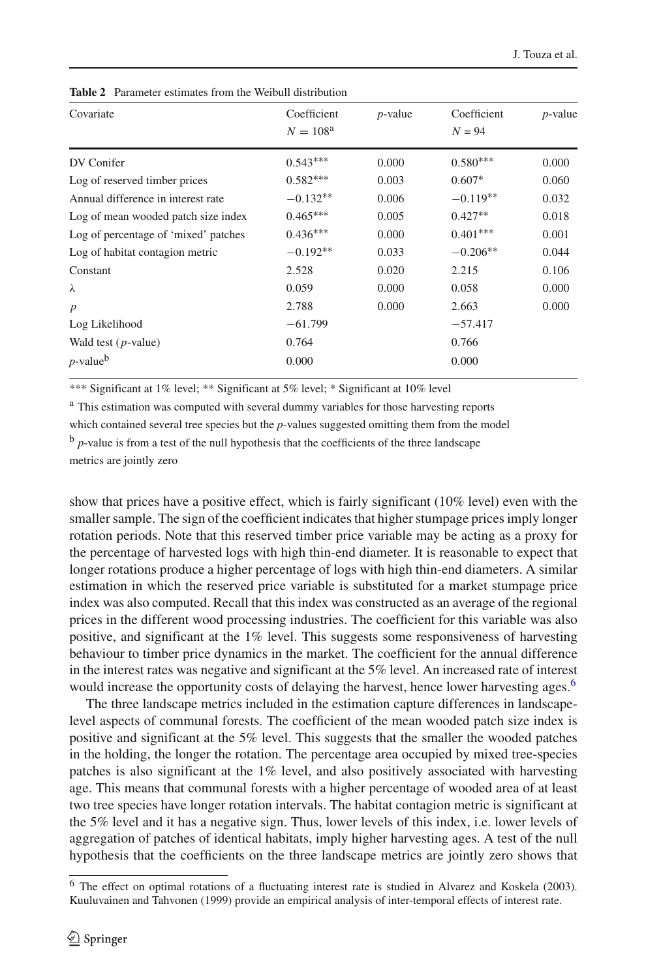<span id="page-9-0"></span>

| Covariate                            | Coefficient       | $p$ -value | Coefficient | <i>p</i> -value |
|--------------------------------------|-------------------|------------|-------------|-----------------|
|                                      | $N = 108^{\rm a}$ |            | $N = 94$    |                 |
| DV Conifer                           | $0.543***$        | 0.000      | $0.580***$  | 0.000           |
| Log of reserved timber prices        | $0.582***$        | 0.003      | $0.607*$    | 0.060           |
| Annual difference in interest rate   | $-0.132**$        | 0.006      | $-0.119**$  | 0.032           |
| Log of mean wooded patch size index  | $0.465***$        | 0.005      | $0.427**$   | 0.018           |
| Log of percentage of 'mixed' patches | $0.436***$        | 0.000      | $0.401***$  | 0.001           |
| Log of habitat contagion metric      | $-0.192**$        | 0.033      | $-0.206**$  | 0.044           |
| Constant                             | 2.528             | 0.020      | 2.215       | 0.106           |
| λ                                    | 0.059             | 0.000      | 0.058       | 0.000           |
| $\boldsymbol{p}$                     | 2.788             | 0.000      | 2.663       | 0.000           |
| Log Likelihood                       | $-61.799$         |            | $-57.417$   |                 |
| Wald test $(p$ -value)               | 0.764<br>0.766    |            |             |                 |
| $p$ -value <sup>b</sup>              | 0.000<br>0.000    |            |             |                 |

**Table 2** Parameter estimates from the Weibull distribution

\*\*\* Significant at 1% level; \*\* Significant at 5% level; \* Significant at 10% level

a This estimation was computed with several dummy variables for those harvesting reports which contained several tree species but the *p*-values suggested omitting them from the model b *p*-value is from a test of the null hypothesis that the coefficients of the three landscape

metrics are jointly zero

show that prices have a positive effect, which is fairly significant (10% level) even with the smaller sample. The sign of the coefficient indicates that higher stumpage prices imply longer rotation periods. Note that this reserved timber price variable may be acting as a proxy for the percentage of harvested logs with high thin-end diameter. It is reasonable to expect that longer rotations produce a higher percentage of logs with high thin-end diameters. A similar estimation in which the reserved price variable is substituted for a market stumpage price index was also computed. Recall that this index was constructed as an average of the regional prices in the different wood processing industries. The coefficient for this variable was also positive, and significant at the 1% level. This suggests some responsiveness of harvesting behaviour to timber price dynamics in the market. The coefficient for the annual difference in the interest rates was negative and significant at the 5% level. An increased rate of interest would increase the opportunity costs of delaying the harvest, hence lower harvesting ages.<sup>[6](#page-9-1)</sup>

The three landscape metrics included in the estimation capture differences in landscapelevel aspects of communal forests. The coefficient of the mean wooded patch size index is positive and significant at the 5% level. This suggests that the smaller the wooded patches in the holding, the longer the rotation. The percentage area occupied by mixed tree-species patches is also significant at the 1% level, and also positively associated with harvesting age. This means that communal forests with a higher percentage of wooded area of at least two tree species have longer rotation intervals. The habitat contagion metric is significant at the 5% level and it has a negative sign. Thus, lower levels of this index, i.e. lower levels of aggregation of patches of identical habitats, imply higher harvesting ages. A test of the null hypothesis that the coefficients on the three landscape metrics are jointly zero shows that

<span id="page-9-1"></span><sup>6</sup> The effect on optimal rotations of a fluctuating interest rate is studied in Alvarez and Koskela (2003). Kuuluvainen and Tahvonen (1999) provide an empirical analysis of inter-temporal effects of interest rate.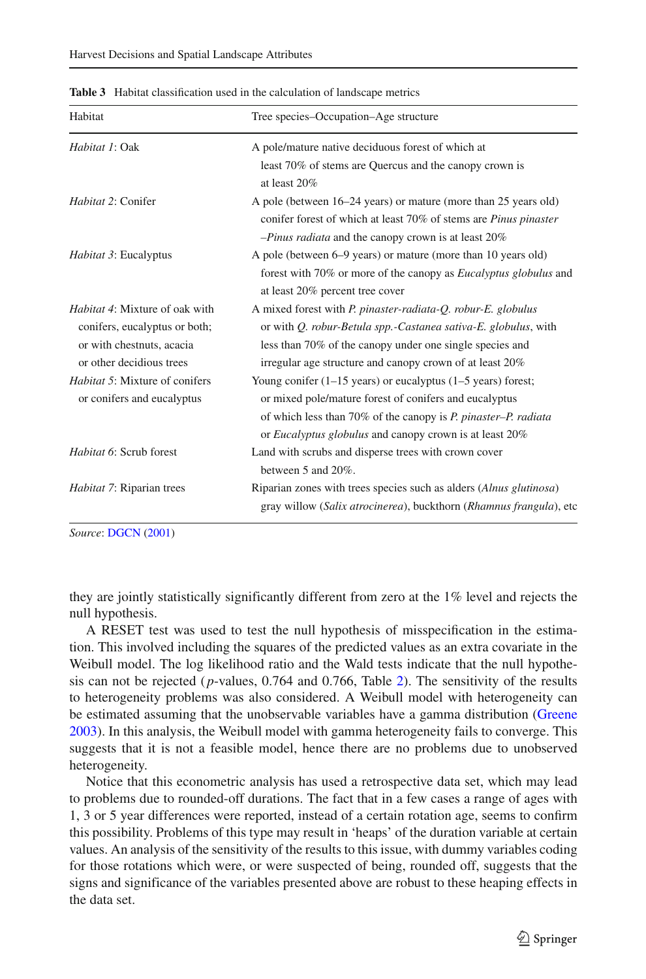<span id="page-10-0"></span>

| Habitat                                                                                                                                                                   | Tree species-Occupation-Age structure                                                                                                                                                                                                                                                                                                      |
|---------------------------------------------------------------------------------------------------------------------------------------------------------------------------|--------------------------------------------------------------------------------------------------------------------------------------------------------------------------------------------------------------------------------------------------------------------------------------------------------------------------------------------|
| Habitat 1: Oak                                                                                                                                                            | A pole/mature native deciduous forest of which at<br>least 70% of stems are Quercus and the canopy crown is<br>at least 20%                                                                                                                                                                                                                |
| <i>Habitat 2:</i> Conifer                                                                                                                                                 | A pole (between 16–24 years) or mature (more than 25 years old)<br>conifer forest of which at least 70% of stems are <i>Pinus pinaster</i><br>$-Pinus$ <i>radiata</i> and the canopy crown is at least 20%                                                                                                                                 |
| <i>Habitat 3</i> : Eucalyptus                                                                                                                                             | A pole (between 6–9 years) or mature (more than 10 years old)<br>forest with 70% or more of the canopy as <i>Eucalyptus globulus</i> and<br>at least 20% percent tree cover                                                                                                                                                                |
| <i>Habitat 4</i> : Mixture of oak with<br>conifers, eucalyptus or both;<br>or with chestnuts, acacia<br>or other decidious trees<br><i>Habitat 5:</i> Mixture of conifers | A mixed forest with P. pinaster-radiata-Q. robur-E. globulus<br>or with Q. robur-Betula spp.-Castanea sativa-E. globulus, with<br>less than 70% of the canopy under one single species and<br>irregular age structure and canopy crown of at least 20%<br>Young conifer $(1-15 \text{ years})$ or eucalyptus $(1-5 \text{ years})$ forest; |
| or conifers and eucalyptus                                                                                                                                                | or mixed pole/mature forest of conifers and eucalyptus<br>of which less than 70% of the canopy is P. pinaster–P. radiata<br>or <i>Eucalyptus globulus</i> and canopy crown is at least 20%                                                                                                                                                 |
| Habitat 6: Scrub forest                                                                                                                                                   | Land with scrubs and disperse trees with crown cover<br>between 5 and 20%.                                                                                                                                                                                                                                                                 |
| <i>Habitat</i> 7: Riparian trees                                                                                                                                          | Riparian zones with trees species such as alders (Alnus glutinosa)<br>gray willow (Salix atrocinerea), buckthorn (Rhamnus frangula), etc                                                                                                                                                                                                   |

**Table 3** Habitat classification used in the calculation of landscape metrics

*Source*: [DGCN](#page-14-12) [\(2001](#page-14-12))

they are jointly statistically significantly different from zero at the 1% level and rejects the null hypothesis.

A RESET test was used to test the null hypothesis of misspecification in the estimation. This involved including the squares of the predicted values as an extra covariate in the Weibull model. The log likelihood ratio and the Wald tests indicate that the null hypothesis can not be rejected ( *p*-values, 0.764 and 0.766, Table [2\)](#page-9-0). The sensitivity of the results to heterogeneity problems was also considered. A Weibull model with heterogeneity can be estimated assuming that the unobservable variables have a gamma distribution [\(Greene](#page-14-17) [2003](#page-14-17)). In this analysis, the Weibull model with gamma heterogeneity fails to converge. This suggests that it is not a feasible model, hence there are no problems due to unobserved heterogeneity.

Notice that this econometric analysis has used a retrospective data set, which may lead to problems due to rounded-off durations. The fact that in a few cases a range of ages with 1, 3 or 5 year differences were reported, instead of a certain rotation age, seems to confirm this possibility. Problems of this type may result in 'heaps' of the duration variable at certain values. An analysis of the sensitivity of the results to this issue, with dummy variables coding for those rotations which were, or were suspected of being, rounded off, suggests that the signs and significance of the variables presented above are robust to these heaping effects in the data set.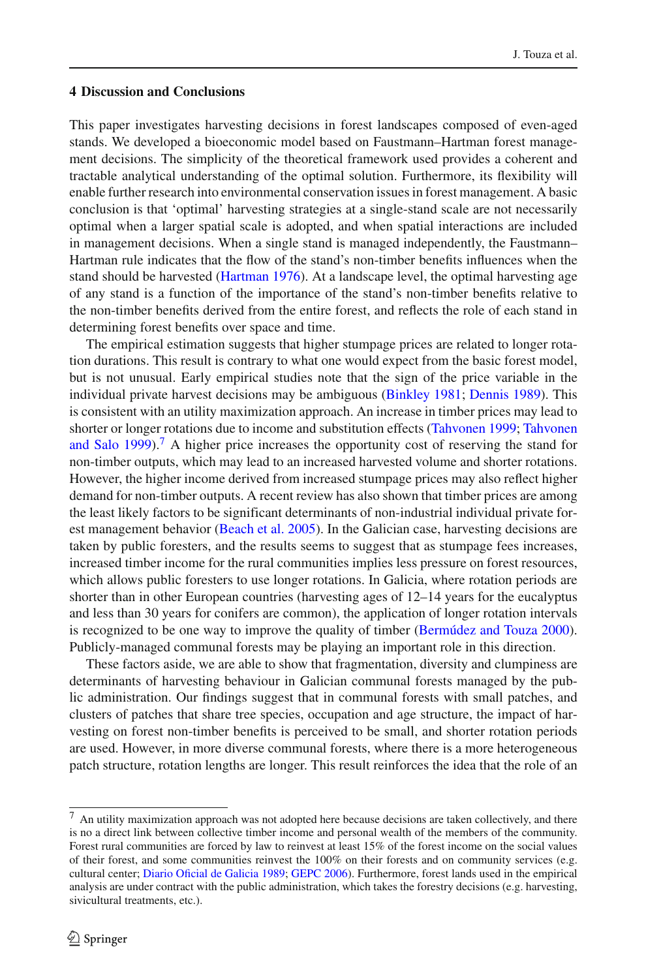#### <span id="page-11-0"></span>**4 Discussion and Conclusions**

This paper investigates harvesting decisions in forest landscapes composed of even-aged stands. We developed a bioeconomic model based on Faustmann–Hartman forest management decisions. The simplicity of the theoretical framework used provides a coherent and tractable analytical understanding of the optimal solution. Furthermore, its flexibility will enable further research into environmental conservation issues in forest management. A basic conclusion is that 'optimal' harvesting strategies at a single-stand scale are not necessarily optimal when a larger spatial scale is adopted, and when spatial interactions are included in management decisions. When a single stand is managed independently, the Faustmann– Hartman rule indicates that the flow of the stand's non-timber benefits influences when the stand should be harvested [\(Hartman 1976](#page-15-22)). At a landscape level, the optimal harvesting age of any stand is a function of the importance of the stand's non-timber benefits relative to the non-timber benefits derived from the entire forest, and reflects the role of each stand in determining forest benefits over space and time.

The empirical estimation suggests that higher stumpage prices are related to longer rotation durations. This result is contrary to what one would expect from the basic forest model, but is not unusual. Early empirical studies note that the sign of the price variable in the individual private harvest decisions may be ambiguous [\(Binkley 1981](#page-14-9); [Dennis 1989](#page-14-19)). This is consistent with an utility maximization approach. An increase in timber prices may lead to shorter o[r](#page-15-8) [longer](#page-15-8) [rotations](#page-15-8) [due](#page-15-8) [to](#page-15-8) [income](#page-15-8) [and](#page-15-8) [substitution](#page-15-8) [effects](#page-15-8) [\(Tahvonen 1999](#page-15-23)[;](#page-15-8) Tahvonen and Salo  $1999$ ).<sup>[7](#page-11-1)</sup> A higher price increases the opportunity cost of reserving the stand for non-timber outputs, which may lead to an increased harvested volume and shorter rotations. However, the higher income derived from increased stumpage prices may also reflect higher demand for non-timber outputs. A recent review has also shown that timber prices are among the least likely factors to be significant determinants of non-industrial individual private forest management behavior [\(Beach et al. 2005\)](#page-14-8). In the Galician case, harvesting decisions are taken by public foresters, and the results seems to suggest that as stumpage fees increases, increased timber income for the rural communities implies less pressure on forest resources, which allows public foresters to use longer rotations. In Galicia, where rotation periods are shorter than in other European countries (harvesting ages of 12–14 years for the eucalyptus and less than 30 years for conifers are common), the application of longer rotation intervals is recognized to be one way to improve the quality of timber [\(Bermúdez and Touza 2000\)](#page-14-20). Publicly-managed communal forests may be playing an important role in this direction.

These factors aside, we are able to show that fragmentation, diversity and clumpiness are determinants of harvesting behaviour in Galician communal forests managed by the public administration. Our findings suggest that in communal forests with small patches, and clusters of patches that share tree species, occupation and age structure, the impact of harvesting on forest non-timber benefits is perceived to be small, and shorter rotation periods are used. However, in more diverse communal forests, where there is a more heterogeneous patch structure, rotation lengths are longer. This result reinforces the idea that the role of an

<span id="page-11-1"></span> $<sup>7</sup>$  An utility maximization approach was not adopted here because decisions are taken collectively, and there</sup> is no a direct link between collective timber income and personal wealth of the members of the community. Forest rural communities are forced by law to reinvest at least 15% of the forest income on the social values of their forest, and some communities reinvest the 100% on their forests and on community services (e.g. cultural center; [Diario Oficial de Galicia 1989](#page-14-21); [GEPC 2006\)](#page-15-24). Furthermore, forest lands used in the empirical analysis are under contract with the public administration, which takes the forestry decisions (e.g. harvesting, sivicultural treatments, etc.).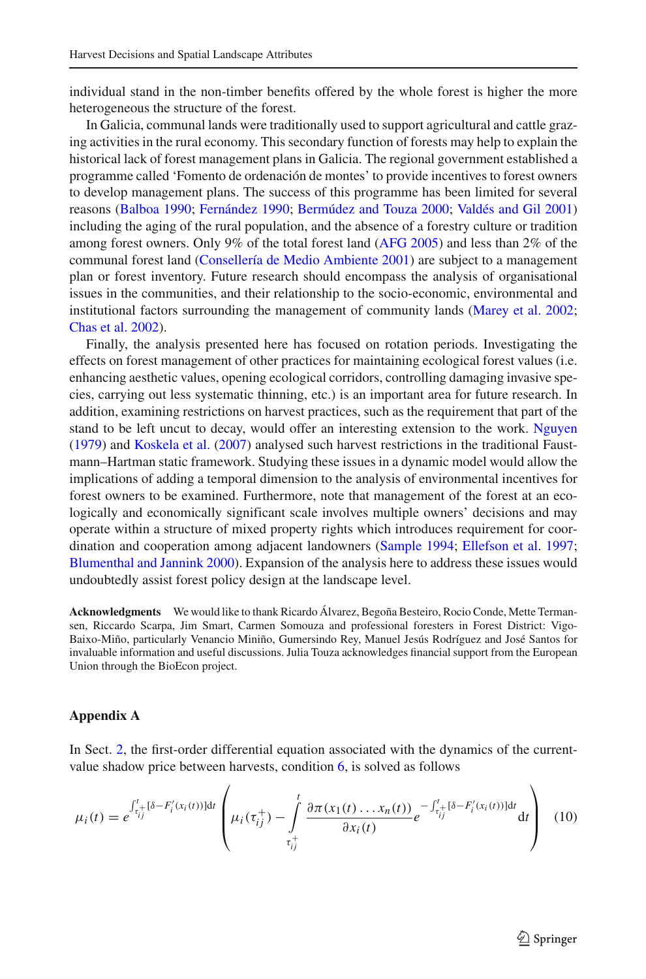individual stand in the non-timber benefits offered by the whole forest is higher the more heterogeneous the structure of the forest.

In Galicia, communal lands were traditionally used to support agricultural and cattle grazing activities in the rural economy. This secondary function of forests may help to explain the historical lack of forest management plans in Galicia. The regional government established a programme called 'Fomento de ordenación de montes' to provide incentives to forest owners to develop management plans. The success of this programme has been limited for several reasons [\(Balboa 1990](#page-14-22); [Fernández 1990](#page-14-23); [Bermúdez and Touza 2000;](#page-14-20) [Valdés and Gil 2001\)](#page-16-2) including the aging of the rural population, and the absence of a forestry culture or tradition among forest owners. Only 9% of the total forest land [\(AFG 2005](#page-14-24)) and less than 2% of the communal forest land [\(Consellería de Medio Ambiente 2001\)](#page-14-5) are subject to a management plan or forest inventory. Future research should encompass the analysis of organisational issues in the communities, and their relationship to the socio-economic, environmental and institutional factors surrounding the management of community lands [\(Marey et al. 2002](#page-15-25); [Chas et al. 2002](#page-14-25)).

Finally, the analysis presented here has focused on rotation periods. Investigating the effects on forest management of other practices for maintaining ecological forest values (i.e. enhancing aesthetic values, opening ecological corridors, controlling damaging invasive species, carrying out less systematic thinning, etc.) is an important area for future research. In addition, examining restrictions on harvest practices, such as the requirement that part of the stand to be left uncut to decay, would offer an interesting extension to the work. [Nguyen](#page-15-26) [\(1979](#page-15-26)) and [Koskela et al.](#page-15-27) [\(2007\)](#page-15-27) analysed such harvest restrictions in the traditional Faustmann–Hartman static framework. Studying these issues in a dynamic model would allow the implications of adding a temporal dimension to the analysis of environmental incentives for forest owners to be examined. Furthermore, note that management of the forest at an ecologically and economically significant scale involves multiple owners' decisions and may operate within a structure of mixed property rights which introduces requirement for coordination and cooperation among adjacent landowners [\(Sample 1994](#page-15-28); [Ellefson et al. 1997](#page-14-26); [Blumenthal and Jannink 2000\)](#page-14-27). Expansion of the analysis here to address these issues would undoubtedly assist forest policy design at the landscape level.

**Acknowledgments** We would like to thank Ricardo Álvarez, Begoña Besteiro, Rocio Conde, Mette Termansen, Riccardo Scarpa, Jim Smart, Carmen Somouza and professional foresters in Forest District: Vigo-Baixo-Miño, particularly Venancio Miniño, Gumersindo Rey, Manuel Jesús Rodríguez and José Santos for invaluable information and useful discussions. Julia Touza acknowledges financial support from the European Union through the BioEcon project.

## **Appendix A**

In Sect. [2,](#page-2-0) the first-order differential equation associated with the dynamics of the currentvalue shadow price between harvests, condition  $6$ , is solved as follows

$$
\mu_i(t) = e^{\int_{\tau_{ij}^+}^t [\delta - F_i'(x_i(t))]dt} \left( \mu_i(\tau_{ij}^+) - \int_{\tau_{ij}^+}^t \frac{\partial \pi(x_1(t) \dots x_n(t))}{\partial x_i(t)} e^{-\int_{\tau_{ij}^+}^t [\delta - F_i'(x_i(t))]dt} dt \right)
$$
(10)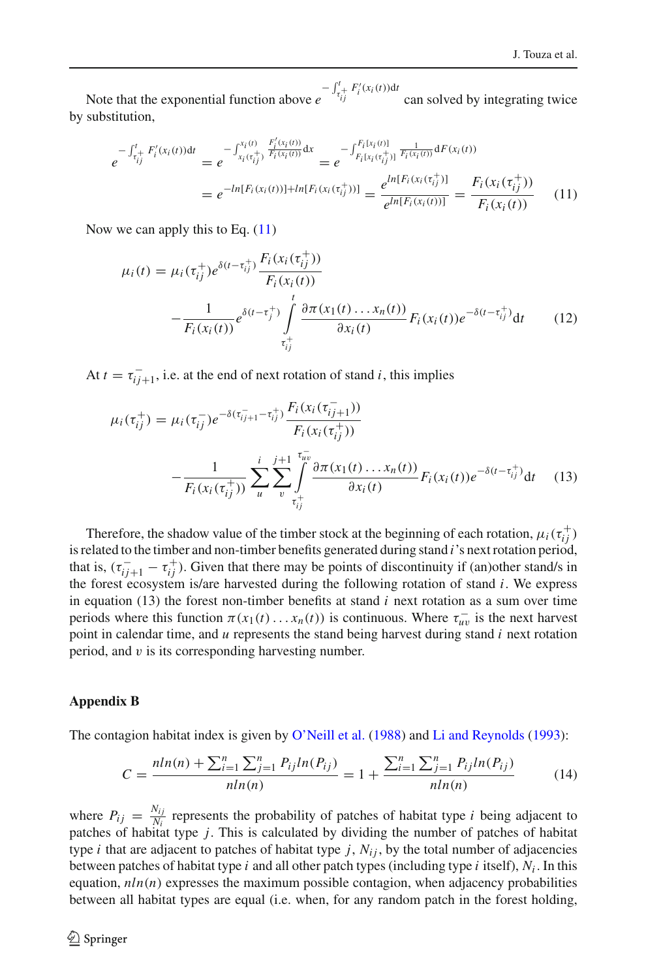$$
-\int_{\tau_{ij}^+}^t F'_i(x_i(t))\mathrm{d}t
$$

<span id="page-13-1"></span>Note that the exponential function above *e i j* can solved by integrating twice by substitution,

$$
e^{-\int_{\tau_{ij}^{+}}^{t} F'_{i}(x_{i}(t))dt} = e^{-\int_{x_{i}(\tau_{ij}^{+})}^{x_{i}(t)} \frac{F'_{i}(x_{i}(t))}{F_{i}(x_{i}(t))}dx} = e^{-\int_{F_{i}[x_{i}(\tau_{ij}^{+})]}^{F_{i}[x_{i}(t))} \frac{1}{F_{i}(x_{i}(t))}dF(x_{i}(t))}
$$

$$
= e^{-\ln[F_{i}(x_{i}(t))] + \ln[F_{i}(x_{i}(\tau_{ij}^{+}))]} = \frac{e^{\ln[F_{i}(x_{i}(t))]} - F_{i}(x_{i}(t_{ij}^{+}))}{e^{\ln[F_{i}(x_{i}(t))]}} = \frac{F_{i}(x_{i}(\tau_{ij}^{+}))}{F_{i}(x_{i}(t))}
$$
(11)

Now we can apply this to Eq.  $(11)$ 

$$
\mu_i(t) = \mu_i(\tau_{ij}^+) e^{\delta(t-\tau_{ij}^+)} \frac{F_i(x_i(\tau_{ij}^+))}{F_i(x_i(t))}
$$

$$
- \frac{1}{F_i(x_i(t))} e^{\delta(t-\tau_j^+)} \int_{\tau_{ij}^+}^{t} \frac{\partial \pi(x_1(t) \dots x_n(t))}{\partial x_i(t)} F_i(x_i(t)) e^{-\delta(t-\tau_{ij}^+)} dt \qquad (12)
$$

<span id="page-13-0"></span>At  $t = \tau_{ij+1}^-$ , i.e. at the end of next rotation of stand *i*, this implies

$$
\mu_i(\tau_{ij}^+) = \mu_i(\tau_{ij}^-) e^{-\delta(\tau_{ij+1}^- - \tau_{ij}^+)} \frac{F_i(x_i(\tau_{ij+1}^-))}{F_i(x_i(\tau_{ij}^+))}
$$

$$
- \frac{1}{F_i(x_i(\tau_{ij}^+))} \sum_{u}^{i} \sum_{v}^{j+1} \frac{\tau_{uv}^{-\delta(\tau_{i+1}^-)}(\partial \pi(x_1(t) \dots x_n(t)))}{\partial x_i(t)} F_i(x_i(t)) e^{-\delta(t-\tau_{ij}^+)} dt \quad (13)
$$

Therefore, the shadow value of the timber stock at the beginning of each rotation,  $\mu_i(\tau_{ij}^+)$ is related to the timber and non-timber benefits generated during stand *i*'s next rotation period, that is,  $(\tau_{ij+1}^+ - \tau_{ij}^+)$ . Given that there may be points of discontinuity if (an)other stand/s in the forest ecosystem is/are harvested during the following rotation of stand  $i$ . We express in equation (13) the forest non-timber benefits at stand *i* next rotation as a sum over time periods where this function  $\pi(x_1(t) \dots x_n(t))$  is continuous. Where  $\tau_{uv}^-$  is the next harvest point in calendar time, and *u* represents the stand being harvest during stand *i* next rotation period, and  $v$  is its corresponding harvesting number.

### **Appendix B**

The contagion habitat index is given by [O'Neill et al.](#page-15-19) [\(1988](#page-15-19)) and [Li and Reynolds](#page-15-20) [\(1993](#page-15-20)):

$$
C = \frac{nln(n) + \sum_{i=1}^{n} \sum_{j=1}^{n} P_{ij}ln(P_{ij})}{nln(n)} = 1 + \frac{\sum_{i=1}^{n} \sum_{j=1}^{n} P_{ij}ln(P_{ij})}{nln(n)}
$$
(14)

where  $P_{ij} = \frac{N_{ij}}{N_i}$  represents the probability of patches of habitat type *i* being adjacent to patches of habitat type *j*. This is calculated by dividing the number of patches of habitat type *i* that are adjacent to patches of habitat type  $j$ ,  $N_{ij}$ , by the total number of adjacencies between patches of habitat type  $i$  and all other patch types (including type  $i$  itself),  $N_i$ . In this equation,  $nln(n)$  expresses the maximum possible contagion, when adjacency probabilities between all habitat types are equal (i.e. when, for any random patch in the forest holding,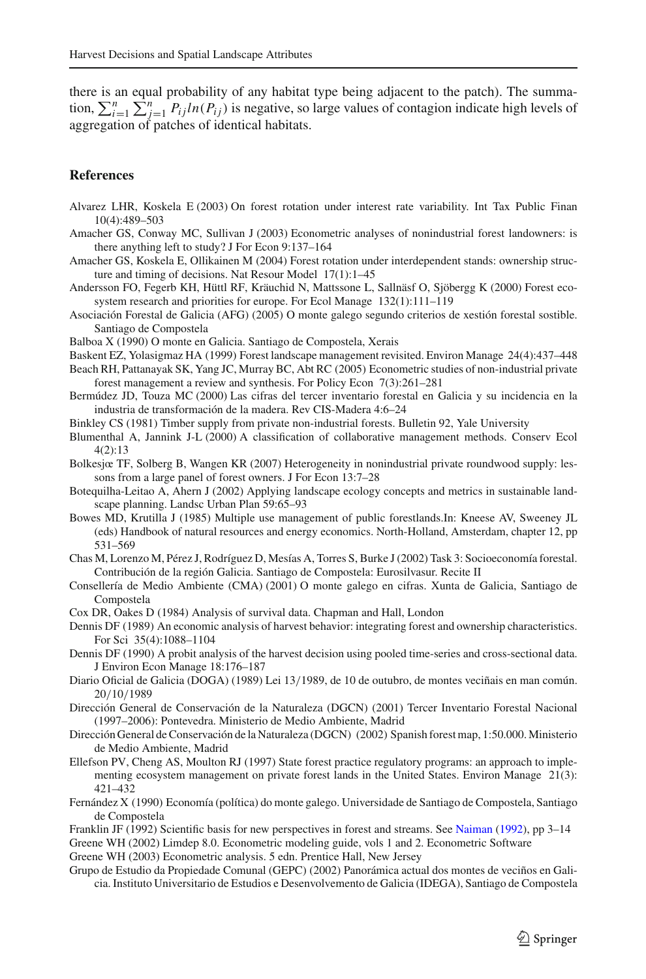there is an equal probability of any habitat type being adjacent to the patch). The summation,  $\sum_{i=1}^{n} \sum_{j=1}^{n} P_{ij} ln(P_{ij})$  is negative, so large values of contagion indicate high levels of aggregation of patches of identical habitats.

# **References**

- <span id="page-14-14"></span>Alvarez LHR, Koskela E (2003) On forest rotation under interest rate variability. Int Tax Public Finan 10(4):489–503
- <span id="page-14-7"></span>Amacher GS, Conway MC, Sullivan J (2003) Econometric analyses of nonindustrial forest landowners: is there anything left to study? J For Econ 9:137–164
- <span id="page-14-4"></span>Amacher GS, Koskela E, Ollikainen M (2004) Forest rotation under interdependent stands: ownership structure and timing of decisions. Nat Resour Model 17(1):1–45
- <span id="page-14-2"></span>Andersson FO, Fegerb KH, Hüttl RF, Kräuchid N, Mattssone L, Sallnäsf O, Sjöbergg K (2000) Forest ecosystem research and priorities for europe. For Ecol Manage 132(1):111–119
- <span id="page-14-24"></span>Asociación Forestal de Galicia (AFG) (2005) O monte galego segundo criterios de xestión forestal sostible. Santiago de Compostela
- <span id="page-14-22"></span>Balboa X (1990) O monte en Galicia. Santiago de Compostela, Xerais
- <span id="page-14-1"></span>Baskent EZ, Yolasigmaz HA (1999) Forest landscape management revisited. Environ Manage 24(4):437–448
- <span id="page-14-8"></span>Beach RH, Pattanayak SK, Yang JC, Murray BC, Abt RC (2005) Econometric studies of non-industrial private forest management a review and synthesis. For Policy Econ 7(3):261–281
- <span id="page-14-20"></span>Bermúdez JD, Touza MC (2000) Las cifras del tercer inventario forestal en Galicia y su incidencia en la industria de transformación de la madera. Rev CIS-Madera 4:6–24
- <span id="page-14-9"></span>Binkley CS (1981) Timber supply from private non-industrial forests. Bulletin 92, Yale University
- <span id="page-14-27"></span>Blumenthal A, Jannink J-L (2000) A classification of collaborative management methods. Conserv Ecol 4(2):13
- <span id="page-14-11"></span>Bolkesjœ TF, Solberg B, Wangen KR (2007) Heterogeneity in nonindustrial private roundwood supply: lessons from a large panel of forest owners. J For Econ 13:7–28
- <span id="page-14-15"></span>Botequilha-Leitao A, Ahern J (2002) Applying landscape ecology concepts and metrics in sustainable landscape planning. Landsc Urban Plan 59:65–93
- <span id="page-14-3"></span>Bowes MD, Krutilla J (1985) Multiple use management of public forestlands.In: Kneese AV, Sweeney JL (eds) Handbook of natural resources and energy economics. North-Holland, Amsterdam, chapter 12, pp 531–569
- <span id="page-14-25"></span>Chas M, Lorenzo M, Pérez J, Rodríguez D, Mesías A, Torres S, Burke J (2002) Task 3: Socioeconomía forestal. Contribución de la región Galicia. Santiago de Compostela: Eurosilvasur. Recite II
- <span id="page-14-5"></span>Consellería de Medio Ambiente (CMA) (2001) O monte galego en cifras. Xunta de Galicia, Santiago de Compostela
- <span id="page-14-16"></span>Cox DR, Oakes D (1984) Analysis of survival data. Chapman and Hall, London
- <span id="page-14-19"></span>Dennis DF (1989) An economic analysis of harvest behavior: integrating forest and ownership characteristics. For Sci 35(4):1088–1104
- <span id="page-14-10"></span>Dennis DF (1990) A probit analysis of the harvest decision using pooled time-series and cross-sectional data. J Environ Econ Manage 18:176–187
- <span id="page-14-21"></span>Diario Oficial de Galicia (DOGA) (1989) Lei 13/1989, de 10 de outubro, de montes veciñais en man común. 20/10/1989
- <span id="page-14-12"></span>Dirección General de Conservación de la Naturaleza (DGCN) (2001) Tercer Inventario Forestal Nacional (1997–2006): Pontevedra. Ministerio de Medio Ambiente, Madrid
- <span id="page-14-13"></span>Dirección General de Conservación de la Naturaleza (DGCN) (2002) Spanish forest map, 1:50.000. Ministerio de Medio Ambiente, Madrid
- <span id="page-14-26"></span>Ellefson PV, Cheng AS, Moulton RJ (1997) State forest practice regulatory programs: an approach to implementing ecosystem management on private forest lands in the United States. Environ Manage 21(3): 421–432
- <span id="page-14-23"></span>Fernández X (1990) Economía (política) do monte galego. Universidade de Santiago de Compostela, Santiago de Compostela
- <span id="page-14-0"></span>Franklin JF (1992) Scientific basis for new perspectives in forest and streams. See [Naiman](#page-15-5) [\(1992\)](#page-15-5), pp 3–14
- <span id="page-14-18"></span>Greene WH (2002) Limdep 8.0. Econometric modeling guide, vols 1 and 2. Econometric Software

<span id="page-14-17"></span>Greene WH (2003) Econometric analysis. 5 edn. Prentice Hall, New Jersey

<span id="page-14-6"></span>Grupo de Estudio da Propiedade Comunal (GEPC) (2002) Panorámica actual dos montes de veciños en Galicia. Instituto Universitario de Estudios e Desenvolvemento de Galicia (IDEGA), Santiago de Compostela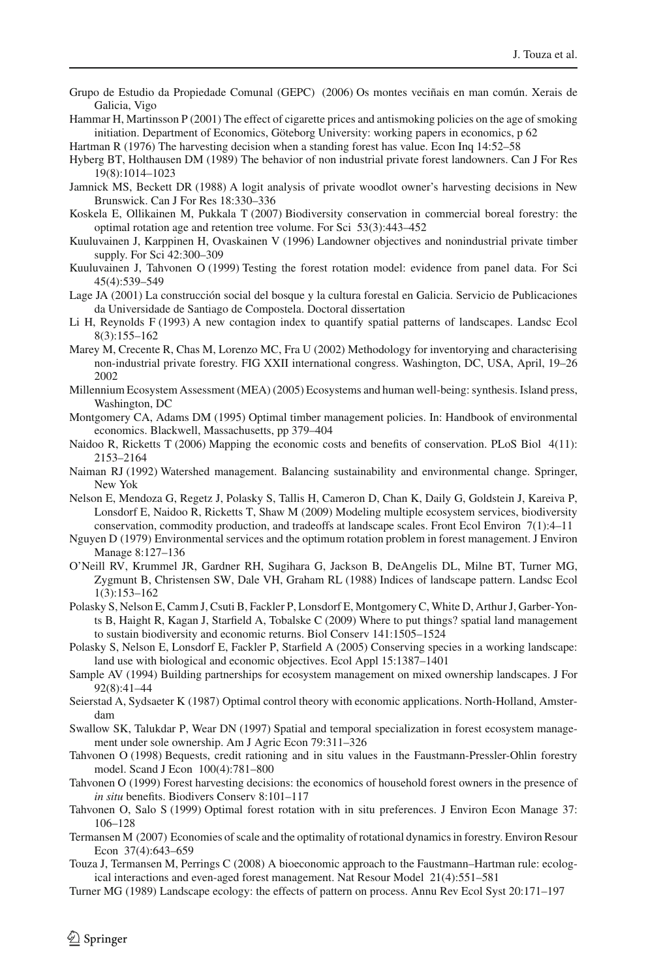- <span id="page-15-24"></span>Grupo de Estudio da Propiedade Comunal (GEPC) (2006) Os montes veciñais en man común. Xerais de Galicia, Vigo
- <span id="page-15-21"></span>Hammar H, Martinsson P (2001) The effect of cigarette prices and antismoking policies on the age of smoking initiation. Department of Economics, Göteborg University: working papers in economics, p 62

<span id="page-15-22"></span>Hartman R (1976) The harvesting decision when a standing forest has value. Econ Inq 14:52–58

<span id="page-15-13"></span>Hyberg BT, Holthausen DM (1989) The behavior of non industrial private forest landowners. Can J For Res 19(8):1014–1023

- <span id="page-15-12"></span>Jamnick MS, Beckett DR (1988) A logit analysis of private woodlot owner's harvesting decisions in New Brunswick. Can J For Res 18:330–336
- <span id="page-15-27"></span>Koskela E, Ollikainen M, Pukkala T (2007) Biodiversity conservation in commercial boreal forestry: the optimal rotation age and retention tree volume. For Sci 53(3):443–452
- <span id="page-15-14"></span>Kuuluvainen J, Karppinen H, Ovaskainen V (1996) Landowner objectives and nonindustrial private timber supply. For Sci 42:300–309
- <span id="page-15-15"></span>Kuuluvainen J, Tahvonen O (1999) Testing the forest rotation model: evidence from panel data. For Sci 45(4):539–549
- <span id="page-15-18"></span>Lage JA (2001) La construcción social del bosque y la cultura forestal en Galicia. Servicio de Publicaciones da Universidade de Santiago de Compostela. Doctoral dissertation
- <span id="page-15-20"></span>Li H, Reynolds F (1993) A new contagion index to quantify spatial patterns of landscapes. Landsc Ecol 8(3):155–162
- <span id="page-15-25"></span>Marey M, Crecente R, Chas M, Lorenzo MC, Fra U (2002) Methodology for inventorying and characterising non-industrial private forestry. FIG XXII international congress. Washington, DC, USA, April, 19–26 2002
- <span id="page-15-0"></span>Millennium Ecosystem Assessment (MEA) (2005) Ecosystems and human well-being: synthesis. Island press, Washington, DC
- <span id="page-15-9"></span>Montgomery CA, Adams DM (1995) Optimal timber management policies. In: Handbook of environmental economics. Blackwell, Massachusetts, pp 379–404
- <span id="page-15-1"></span>Naidoo R, Ricketts T (2006) Mapping the economic costs and benefits of conservation. PLoS Biol 4(11): 2153–2164
- <span id="page-15-5"></span>Naiman RJ (1992) Watershed management. Balancing sustainability and environmental change. Springer, New Yok
- <span id="page-15-2"></span>Nelson E, Mendoza G, Regetz J, Polasky S, Tallis H, Cameron D, Chan K, Daily G, Goldstein J, Kareiva P, Lonsdorf E, Naidoo R, Ricketts T, Shaw M (2009) Modeling multiple ecosystem services, biodiversity conservation, commodity production, and tradeoffs at landscape scales. Front Ecol Environ 7(1):4–11
- <span id="page-15-26"></span>Nguyen D (1979) Environmental services and the optimum rotation problem in forest management. J Environ Manage 8:127–136
- <span id="page-15-19"></span>O'Neill RV, Krummel JR, Gardner RH, Sugihara G, Jackson B, DeAngelis DL, Milne BT, Turner MG, Zygmunt B, Christensen SW, Dale VH, Graham RL (1988) Indices of landscape pattern. Landsc Ecol 1(3):153–162
- <span id="page-15-3"></span>Polasky S, Nelson E, Camm J, Csuti B, Fackler P, Lonsdorf E, Montgomery C, White D, Arthur J, Garber-Yonts B, Haight R, Kagan J, Starfield A, Tobalske C (2009) Where to put things? spatial land management to sustain biodiversity and economic returns. Biol Conserv 141:1505–1524
- <span id="page-15-6"></span>Polasky S, Nelson E, Lonsdorf E, Fackler P, Starfield A (2005) Conserving species in a working landscape: land use with biological and economic objectives. Ecol Appl 15:1387–1401
- <span id="page-15-28"></span>Sample AV (1994) Building partnerships for ecosystem management on mixed ownership landscapes. J For 92(8):41–44
- <span id="page-15-17"></span>Seierstad A, Sydsaeter K (1987) Optimal control theory with economic applications. North-Holland, Amsterdam
- <span id="page-15-11"></span>Swallow SK, Talukdar P, Wear DN (1997) Spatial and temporal specialization in forest ecosystem management under sole ownership. Am J Agric Econ 79:311–326
- <span id="page-15-7"></span>Tahvonen O (1998) Bequests, credit rationing and in situ values in the Faustmann-Pressler-Ohlin forestry model. Scand J Econ 100(4):781–800
- <span id="page-15-23"></span>Tahvonen O (1999) Forest harvesting decisions: the economics of household forest owners in the presence of *in situ* benefits. Biodivers Conserv 8:101–117
- <span id="page-15-8"></span>Tahvonen O, Salo S (1999) Optimal forest rotation with in situ preferences. J Environ Econ Manage 37: 106–128
- <span id="page-15-10"></span>Termansen M (2007) Economies of scale and the optimality of rotational dynamics in forestry. Environ Resour Econ 37(4):643–659
- <span id="page-15-16"></span>Touza J, Termansen M, Perrings C (2008) A bioeconomic approach to the Faustmann–Hartman rule: ecological interactions and even-aged forest management. Nat Resour Model 21(4):551–581
- <span id="page-15-4"></span>Turner MG (1989) Landscape ecology: the effects of pattern on process. Annu Rev Ecol Syst 20:171–197